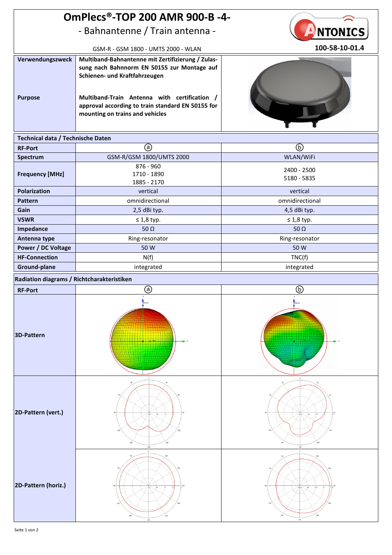| <b>OmPlecs®-TOP 200 AMR 900-B -4-</b>      |                                                                                                                                                                                                                                                                           |                            |
|--------------------------------------------|---------------------------------------------------------------------------------------------------------------------------------------------------------------------------------------------------------------------------------------------------------------------------|----------------------------|
| - Bahnantenne / Train antenna -            |                                                                                                                                                                                                                                                                           | <b>NTONICS</b>             |
| GSM-R - GSM 1800 - UMTS 2000 - WLAN        |                                                                                                                                                                                                                                                                           | 100-58-10-01.4             |
| Verwendungszweck<br><b>Purpose</b>         | Multiband-Bahnantenne mit Zertifizierung / Zulas-<br>sung nach Bahnnorm EN 50155 zur Montage auf<br>Schienen- und Kraftfahrzeugen<br>Multiband-Train Antenna with certification /<br>approval according to train standard EN 50155 for<br>mounting on trains and vehicles |                            |
| Technical data / Technische Daten          |                                                                                                                                                                                                                                                                           |                            |
| <b>RF-Port</b>                             | ⊚                                                                                                                                                                                                                                                                         | $^{\circledR}$             |
| Spectrum                                   | GSM-R/GSM 1800/UMTS 2000                                                                                                                                                                                                                                                  | WLAN/WiFi                  |
| <b>Frequency [MHz]</b>                     | 876 - 960<br>1710 - 1890<br>1885 - 2170                                                                                                                                                                                                                                   | 2400 - 2500<br>5180 - 5835 |
| <b>Polarization</b>                        | vertical                                                                                                                                                                                                                                                                  | vertical                   |
| <b>Pattern</b>                             | omnidirectional                                                                                                                                                                                                                                                           | omnidirectional            |
| Gain                                       | 2,5 dBi typ.                                                                                                                                                                                                                                                              | 4,5 dBi typ.               |
| <b>VSWR</b>                                | $\leq 1.8$ typ.                                                                                                                                                                                                                                                           | $\leq 1.8$ typ.            |
| Impedance                                  | 50 $\Omega$                                                                                                                                                                                                                                                               | 50 $\Omega$                |
| Antenna type                               | Ring-resonator                                                                                                                                                                                                                                                            | Ring-resonator             |
| <b>Power / DC Voltage</b>                  | 50 W                                                                                                                                                                                                                                                                      | 50 W                       |
| <b>HF-Connection</b>                       | N(f)                                                                                                                                                                                                                                                                      | TNC(f)                     |
| Ground-plane                               | integrated                                                                                                                                                                                                                                                                | integrated                 |
| Radiation diagrams / Richtcharakteristiken |                                                                                                                                                                                                                                                                           |                            |
| <b>RF-Port</b>                             | ⊚                                                                                                                                                                                                                                                                         | ⑯                          |
| 3D-Pattern                                 |                                                                                                                                                                                                                                                                           |                            |
| 2D-Pattern (vert.)                         |                                                                                                                                                                                                                                                                           | 7.5<br>$-22.5$<br>$-15$    |
| 2D-Pattern (horiz.)                        | $-10$                                                                                                                                                                                                                                                                     | $-15$<br>$-7.5$<br>$-22.5$ |